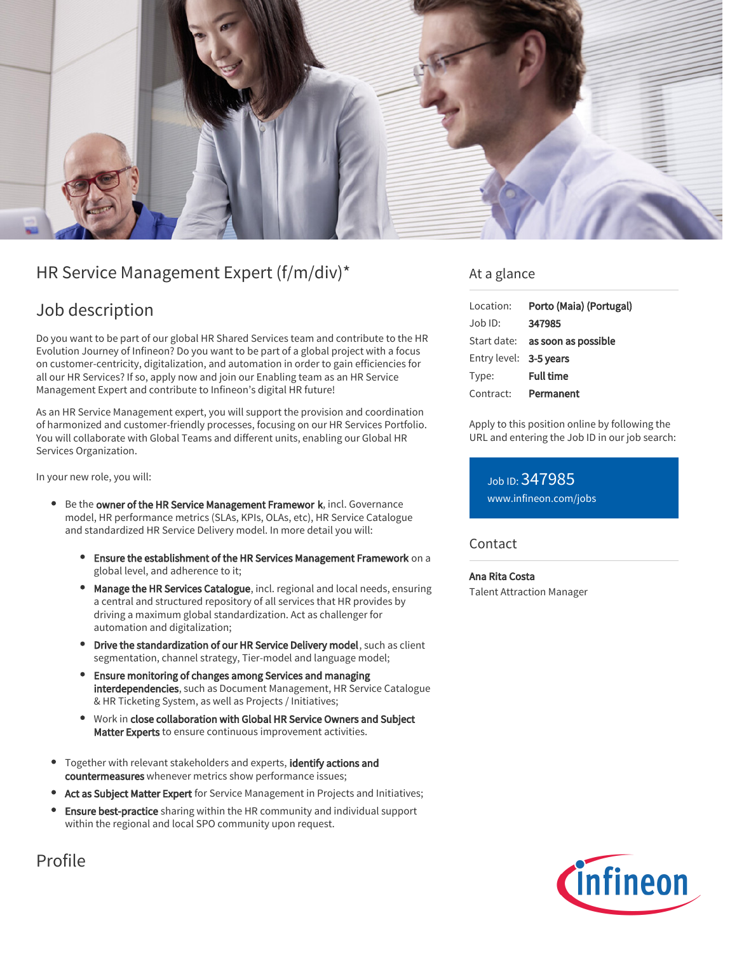

# HR Service Management Expert (f/m/div)\*

# Job description

Do you want to be part of our global HR Shared Services team and contribute to the HR Evolution Journey of Infineon? Do you want to be part of a global project with a focus on customer-centricity, digitalization, and automation in order to gain efficiencies for all our HR Services? If so, apply now and join our Enabling team as an HR Service Management Expert and contribute to Infineon's digital HR future!

As an HR Service Management expert, you will support the provision and coordination of harmonized and customer-friendly processes, focusing on our HR Services Portfolio. You will collaborate with Global Teams and different units, enabling our Global HR Services Organization.

In your new role, you will:

- **Be the owner of the HR Service Management Framewor k**, incl. Governance model, HR performance metrics (SLAs, KPIs, OLAs, etc), HR Service Catalogue and standardized HR Service Delivery model. In more detail you will:
	- Ensure the establishment of the HR Services Management Framework on a global level, and adherence to it;
	- Manage the HR Services Catalogue, incl. regional and local needs, ensuring a central and structured repository of all services that HR provides by driving a maximum global standardization. Act as challenger for automation and digitalization;
	- Drive the standardization of our HR Service Delivery model, such as client segmentation, channel strategy, Tier-model and language model;
	- Ensure monitoring of changes among Services and managing interdependencies, such as Document Management, HR Service Catalogue & HR Ticketing System, as well as Projects / Initiatives;
	- Work in close collaboration with Global HR Service Owners and Subject Matter Experts to ensure continuous improvement activities.
- Together with relevant stakeholders and experts, identify actions and countermeasures whenever metrics show performance issues;
- Act as Subject Matter Expert for Service Management in Projects and Initiatives;
- Ensure best-practice sharing within the HR community and individual support within the regional and local SPO community upon request.

### At a glance

| Location:              | Porto (Maia) (Portugal)                |
|------------------------|----------------------------------------|
| $Job$ ID:              | 347985                                 |
|                        | Start date: <b>as soon as possible</b> |
| Entry level: 3-5 years |                                        |
| Type:                  | <b>Full time</b>                       |
| Contract:              | Permanent                              |

Apply to this position online by following the URL and entering the Job ID in our job search:

Job ID: 347985 [www.infineon.com/jobs](https://www.infineon.com/jobs)

### **Contact**

#### Ana Rita Costa

Talent Attraction Manager



Profile